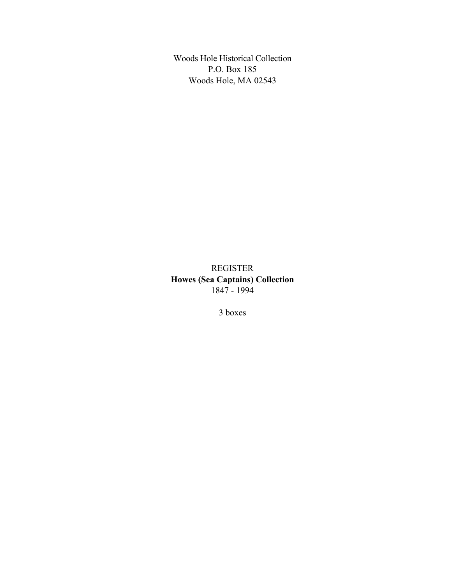Woods Hole Historical Collection P.O. Box 185 Woods Hole, MA 02543

REGISTER **Howes (Sea Captains) Collection** 1847 - 1994

3 boxes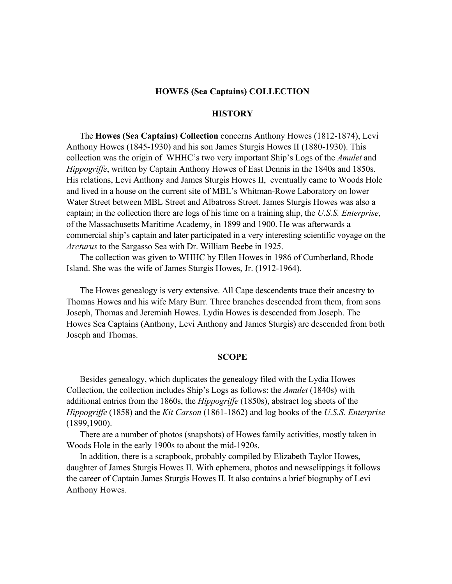#### **HOWES (Sea Captains) COLLECTION**

## **HISTORY**

The **Howes (Sea Captains) Collection** concerns Anthony Howes (1812-1874), Levi Anthony Howes (1845-1930) and his son James Sturgis Howes II (1880-1930). This collection was the origin of WHHC's two very important Ship's Logs of the *Amulet* and *Hippogriffe*, written by Captain Anthony Howes of East Dennis in the 1840s and 1850s. His relations, Levi Anthony and James Sturgis Howes II, eventually came to Woods Hole and lived in a house on the current site of MBL's Whitman-Rowe Laboratory on lower Water Street between MBL Street and Albatross Street. James Sturgis Howes was also a captain; in the collection there are logs of his time on a training ship, the *U.S.S. Enterprise*, of the Massachusetts Maritime Academy, in 1899 and 1900. He was afterwards a commercial ship's captain and later participated in a very interesting scientific voyage on the *Arcturus* to the Sargasso Sea with Dr. William Beebe in 1925.

The collection was given to WHHC by Ellen Howes in 1986 of Cumberland, Rhode Island. She was the wife of James Sturgis Howes, Jr. (1912-1964).

The Howes genealogy is very extensive. All Cape descendents trace their ancestry to Thomas Howes and his wife Mary Burr. Three branches descended from them, from sons Joseph, Thomas and Jeremiah Howes. Lydia Howes is descended from Joseph. The Howes Sea Captains (Anthony, Levi Anthony and James Sturgis) are descended from both Joseph and Thomas.

#### **SCOPE**

Besides genealogy, which duplicates the genealogy filed with the Lydia Howes Collection, the collection includes Ship's Logs as follows: the *Amulet* (1840s) with additional entries from the 1860s, the *Hippogriffe* (1850s), abstract log sheets of the *Hippogriffe* (1858) and the *Kit Carson* (1861-1862) and log books of the *U.S.S. Enterprise* (1899,1900).

There are a number of photos (snapshots) of Howes family activities, mostly taken in Woods Hole in the early 1900s to about the mid-1920s.

In addition, there is a scrapbook, probably compiled by Elizabeth Taylor Howes, daughter of James Sturgis Howes II. With ephemera, photos and newsclippings it follows the career of Captain James Sturgis Howes II. It also contains a brief biography of Levi Anthony Howes.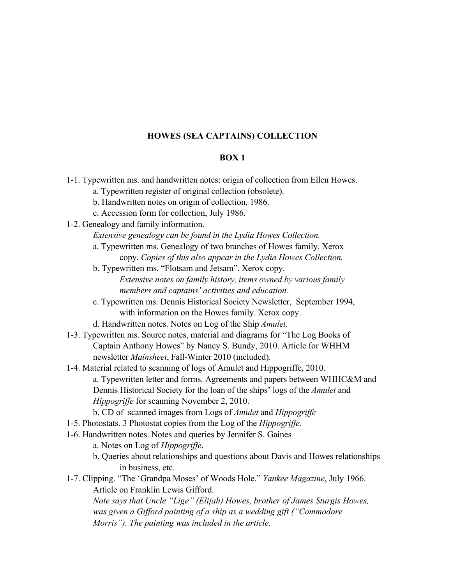# **HOWES (SEA CAPTAINS) COLLECTION**

### **BOX 1**

- 1-1. Typewritten ms. and handwritten notes: origin of collection from Ellen Howes. a. Typewritten register of original collection (obsolete).
	-
	- b. Handwritten notes on origin of collection, 1986.
	- c. Accession form for collection, July 1986.
- 1-2. Genealogy and family information.

*Extensive genealogy can be found in the Lydia Howes Collection.*

- a. Typewritten ms. Genealogy of two branches of Howes family. Xerox copy. *Copies of this also appear in the Lydia Howes Collection.*
- b. Typewritten ms. "Flotsam and Jetsam". Xerox copy. *Extensive notes on family history, items owned by various family members and captains' activities and education.*
- c. Typewritten ms. Dennis Historical Society Newsletter, September 1994, with information on the Howes family. Xerox copy.
- d. Handwritten notes. Notes on Log of the Ship *Amulet*.
- 1-3. Typewritten ms. Source notes, material and diagrams for "The Log Books of Captain Anthony Howes" by Nancy S. Bundy, 2010. Article for WHHM newsletter *Mainsheet*, Fall-Winter 2010 (included).
- 1-4. Material related to scanning of logs of Amulet and Hippogriffe, 2010. a. Typewritten letter and forms. Agreements and papers between WHHC&M and Dennis Historical Society for the loan of the ships' logs of the *Amulet* and *Hippogriffe* for scanning November 2, 2010.
	- b. CD of scanned images from Logs of *Amulet* and *Hippogriffe*
- 1-5. Photostats. 3 Photostat copies from the Log of the *Hippogriffe*.
- 1-6. Handwritten notes. Notes and queries by Jennifer S. Gaines
	- a. Notes on Log of *Hippogriffe*.
	- b. Queries about relationships and questions about Davis and Howes relationships in business, etc.
- 1-7. Clipping. "The 'Grandpa Moses' of Woods Hole." *Yankee Magazine*, July 1966. Article on Franklin Lewis Gifford.

*Note says that Uncle "Lige" (Elijah) Howes, brother of James Sturgis Howes, was given a Gifford painting of a ship as a wedding gift ("Commodore Morris"). The painting was included in the article.*